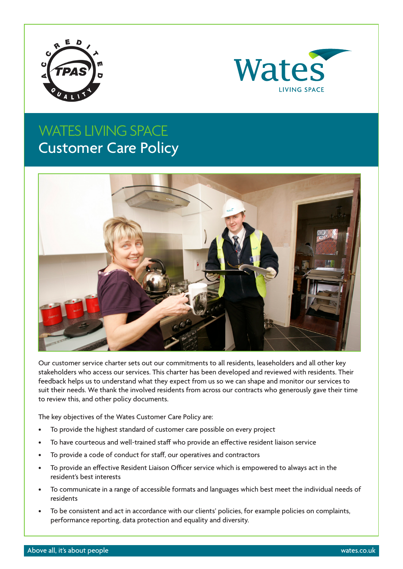



### WATES LIVING SPACE Customer Care Policy



Our customer service charter sets out our commitments to all residents, leaseholders and all other key stakeholders who access our services. This charter has been developed and reviewed with residents. Their feedback helps us to understand what they expect from us so we can shape and monitor our services to suit their needs. We thank the involved residents from across our contracts who generously gave their time to review this, and other policy documents.

The key objectives of the Wates Customer Care Policy are:

- To provide the highest standard of customer care possible on every project
- To have courteous and well-trained staff who provide an effective resident liaison service
- To provide a code of conduct for staff, our operatives and contractors
- To provide an effective Resident Liaison Officer service which is empowered to always act in the resident's best interests
- To communicate in a range of accessible formats and languages which best meet the individual needs of residents
- To be consistent and act in accordance with our clients' policies, for example policies on complaints, performance reporting, data protection and equality and diversity.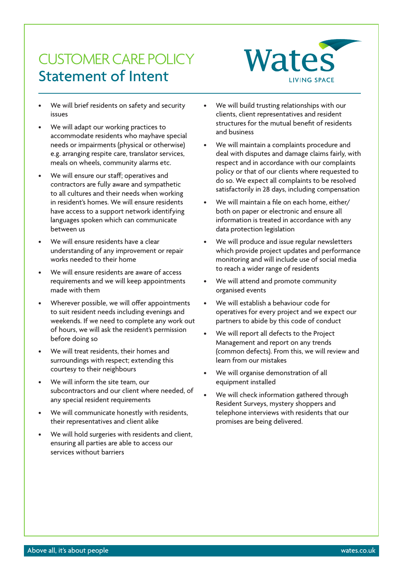### CUSTOMER CARE POLICY Statement of Intent



- We will brief residents on safety and security issues
- We will adapt our working practices to accommodate residents who mayhave special needs or impairments (physical or otherwise) e.g. arranging respite care, translator services, meals on wheels, community alarms etc.
- We will ensure our staff; operatives and contractors are fully aware and sympathetic to all cultures and their needs when working in resident's homes. We will ensure residents have access to a support network identifying languages spoken which can communicate between us
- We will ensure residents have a clear understanding of any improvement or repair works needed to their home
- We will ensure residents are aware of access requirements and we will keep appointments made with them
- Wherever possible, we will offer appointments to suit resident needs including evenings and weekends. If we need to complete any work out of hours, we will ask the resident's permission before doing so
- We will treat residents, their homes and surroundings with respect; extending this courtesy to their neighbours
- We will inform the site team, our subcontractors and our client where needed, of any special resident requirements
- We will communicate honestly with residents, their representatives and client alike
- We will hold surgeries with residents and client, ensuring all parties are able to access our services without barriers
- We will build trusting relationships with our clients, client representatives and resident structures for the mutual benefit of residents and business
- We will maintain a complaints procedure and deal with disputes and damage claims fairly, with respect and in accordance with our complaints policy or that of our clients where requested to do so. We expect all complaints to be resolved satisfactorily in 28 days, including compensation
- We will maintain a file on each home, either/ both on paper or electronic and ensure all information is treated in accordance with any data protection legislation
- We will produce and issue regular newsletters which provide project updates and performance monitoring and will include use of social media to reach a wider range of residents
- We will attend and promote community organised events
- We will establish a behaviour code for operatives for every project and we expect our partners to abide by this code of conduct
- We will report all defects to the Project Management and report on any trends (common defects). From this, we will review and learn from our mistakes
- We will organise demonstration of all equipment installed
- We will check information gathered through Resident Surveys, mystery shoppers and telephone interviews with residents that our promises are being delivered.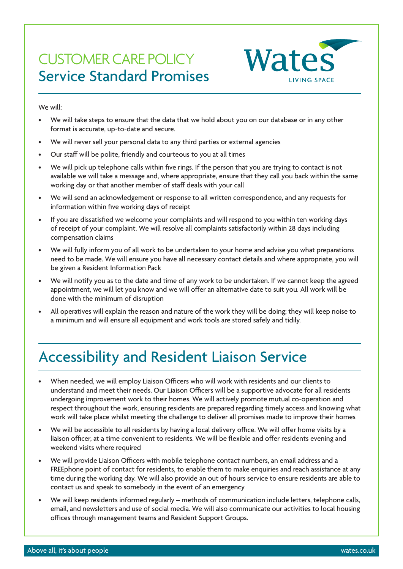### CUSTOMER CARE POLICY Service Standard Promises

Wates **LIVING SPACE** 

We will:

- We will take steps to ensure that the data that we hold about you on our database or in any other format is accurate, up-to-date and secure.
- We will never sell your personal data to any third parties or external agencies
- Our staff will be polite, friendly and courteous to you at all times
- We will pick up telephone calls within five rings. If the person that you are trying to contact is not available we will take a message and, where appropriate, ensure that they call you back within the same working day or that another member of staff deals with your call
- We will send an acknowledgement or response to all written correspondence, and any requests for information within five working days of receipt
- If you are dissatisfied we welcome your complaints and will respond to you within ten working days of receipt of your complaint. We will resolve all complaints satisfactorily within 28 days including compensation claims
- We will fully inform you of all work to be undertaken to your home and advise you what preparations need to be made. We will ensure you have all necessary contact details and where appropriate, you will be given a Resident Information Pack
- We will notify you as to the date and time of any work to be undertaken. If we cannot keep the agreed appointment, we will let you know and we will offer an alternative date to suit you. All work will be done with the minimum of disruption
- All operatives will explain the reason and nature of the work they will be doing; they will keep noise to a minimum and will ensure all equipment and work tools are stored safely and tidily.

# Accessibility and Resident Liaison Service

- When needed, we will employ Liaison Officers who will work with residents and our clients to understand and meet their needs. Our Liaison Officers will be a supportive advocate for all residents undergoing improvement work to their homes. We will actively promote mutual co-operation and respect throughout the work, ensuring residents are prepared regarding timely access and knowing what work will take place whilst meeting the challenge to deliver all promises made to improve their homes
- We will be accessible to all residents by having a local delivery office. We will offer home visits by a liaison officer, at a time convenient to residents. We will be flexible and offer residents evening and weekend visits where required
- We will provide Liaison Officers with mobile telephone contact numbers, an email address and a FREEphone point of contact for residents, to enable them to make enquiries and reach assistance at any time during the working day. We will also provide an out of hours service to ensure residents are able to contact us and speak to somebody in the event of an emergency
- We will keep residents informed regularly methods of communication include letters, telephone calls, email, and newsletters and use of social media. We will also communicate our activities to local housing offices through management teams and Resident Support Groups.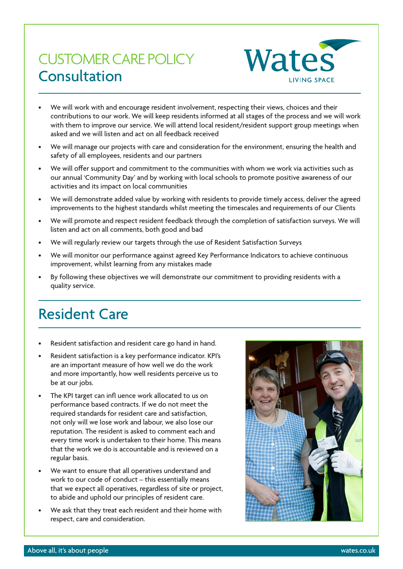## CUSTOMER CARE POLICY Consultation



- We will work with and encourage resident involvement, respecting their views, choices and their contributions to our work. We will keep residents informed at all stages of the process and we will work with them to improve our service. We will attend local resident/resident support group meetings when asked and we will listen and act on all feedback received
- We will manage our projects with care and consideration for the environment, ensuring the health and safety of all employees, residents and our partners
- We will offer support and commitment to the communities with whom we work via activities such as our annual 'Community Day' and by working with local schools to promote positive awareness of our activities and its impact on local communities
- We will demonstrate added value by working with residents to provide timely access, deliver the agreed improvements to the highest standards whilst meeting the timescales and requirements of our Clients
- We will promote and respect resident feedback through the completion of satisfaction surveys. We will listen and act on all comments, both good and bad
- We will regularly review our targets through the use of Resident Satisfaction Surveys
- We will monitor our performance against agreed Key Performance Indicators to achieve continuous improvement, whilst learning from any mistakes made
- By following these objectives we will demonstrate our commitment to providing residents with a quality service.

### Resident Care

- Resident satisfaction and resident care go hand in hand.
- Resident satisfaction is a key performance indicator. KPI's are an important measure of how well we do the work and more importantly, how well residents perceive us to be at our jobs.
- The KPI target can infl uence work allocated to us on performance based contracts. If we do not meet the required standards for resident care and satisfaction, not only will we lose work and labour, we also lose our reputation. The resident is asked to comment each and every time work is undertaken to their home. This means that the work we do is accountable and is reviewed on a regular basis.
- We want to ensure that all operatives understand and work to our code of conduct – this essentially means that we expect all operatives, regardless of site or project, to abide and uphold our principles of resident care.
- We ask that they treat each resident and their home with respect, care and consideration.